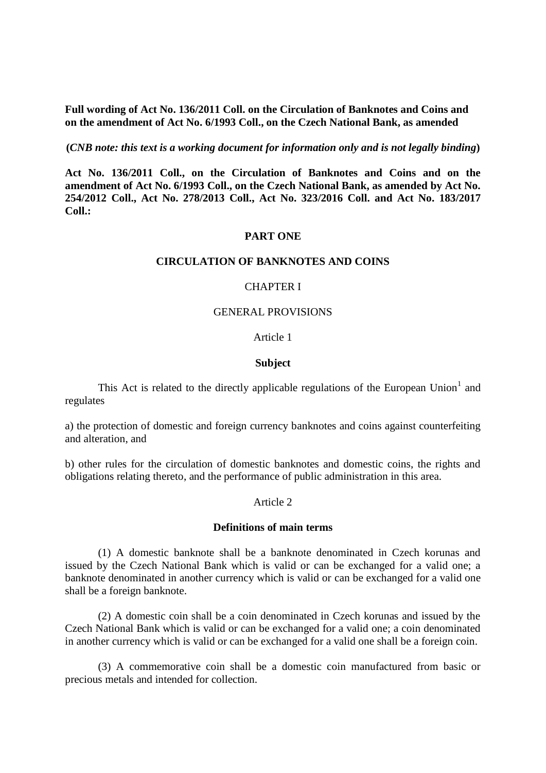**Full wording of Act No. 136/2011 Coll. on the Circulation of Banknotes and Coins and on the amendment of Act No. 6/1993 Coll., on the Czech National Bank, as amended**

**(***CNB note: this text is a working document for information only and is not legally binding***)**

**Act No. 136/2011 Coll., on the Circulation of Banknotes and Coins and on the amendment of Act No. 6/1993 Coll., on the Czech National Bank, as amended by Act No. 254/2012 Coll., Act No. 278/2013 Coll., Act No. 323/2016 Coll. and Act No. 183/2017 Coll.:** 

### **PART ONE**

### **CIRCULATION OF BANKNOTES AND COINS**

### CHAPTER I

#### GENERAL PROVISIONS

## Article 1

#### **Subject**

This Act is related to the directly applicable regulations of the European Union<sup>1</sup> and regulates

a) the protection of domestic and foreign currency banknotes and coins against counterfeiting and alteration, and

b) other rules for the circulation of domestic banknotes and domestic coins, the rights and obligations relating thereto, and the performance of public administration in this area.

## Article 2

### **Definitions of main terms**

(1) A domestic banknote shall be a banknote denominated in Czech korunas and issued by the Czech National Bank which is valid or can be exchanged for a valid one; a banknote denominated in another currency which is valid or can be exchanged for a valid one shall be a foreign banknote.

(2) A domestic coin shall be a coin denominated in Czech korunas and issued by the Czech National Bank which is valid or can be exchanged for a valid one; a coin denominated in another currency which is valid or can be exchanged for a valid one shall be a foreign coin.

(3) A commemorative coin shall be a domestic coin manufactured from basic or precious metals and intended for collection.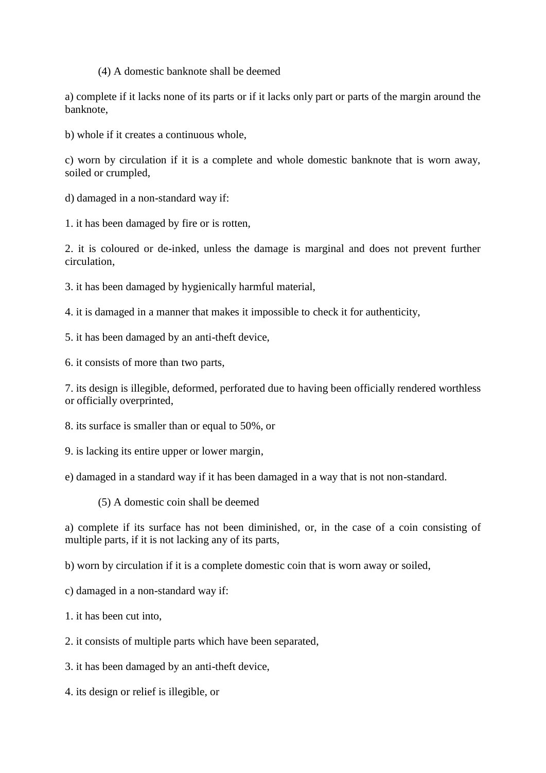(4) A domestic banknote shall be deemed

a) complete if it lacks none of its parts or if it lacks only part or parts of the margin around the banknote,

b) whole if it creates a continuous whole,

c) worn by circulation if it is a complete and whole domestic banknote that is worn away, soiled or crumpled,

d) damaged in a non-standard way if:

1. it has been damaged by fire or is rotten,

2. it is coloured or de-inked, unless the damage is marginal and does not prevent further circulation,

3. it has been damaged by hygienically harmful material,

4. it is damaged in a manner that makes it impossible to check it for authenticity,

5. it has been damaged by an anti-theft device,

6. it consists of more than two parts,

7. its design is illegible, deformed, perforated due to having been officially rendered worthless or officially overprinted,

8. its surface is smaller than or equal to 50%, or

9. is lacking its entire upper or lower margin,

e) damaged in a standard way if it has been damaged in a way that is not non-standard.

(5) A domestic coin shall be deemed

a) complete if its surface has not been diminished, or, in the case of a coin consisting of multiple parts, if it is not lacking any of its parts,

b) worn by circulation if it is a complete domestic coin that is worn away or soiled,

c) damaged in a non-standard way if:

1. it has been cut into,

2. it consists of multiple parts which have been separated,

3. it has been damaged by an anti-theft device,

4. its design or relief is illegible, or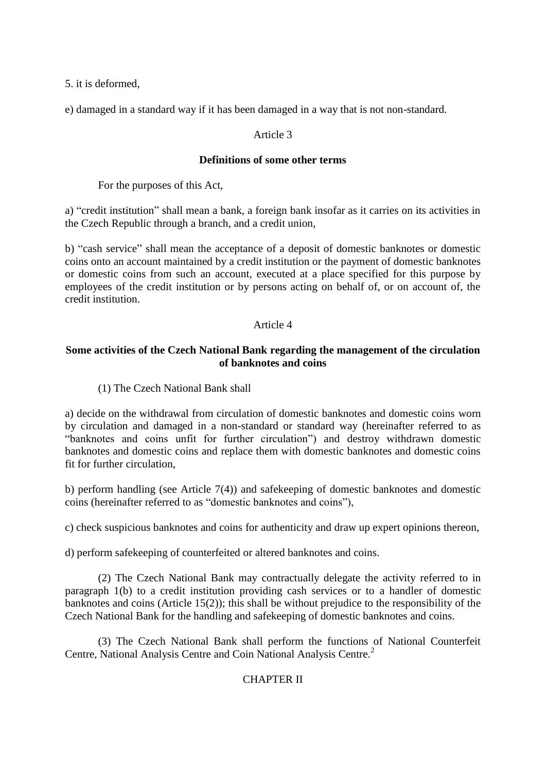5. it is deformed,

e) damaged in a standard way if it has been damaged in a way that is not non-standard.

## Article 3

## **Definitions of some other terms**

For the purposes of this Act,

a) "credit institution" shall mean a bank, a foreign bank insofar as it carries on its activities in the Czech Republic through a branch, and a credit union,

b) "cash service" shall mean the acceptance of a deposit of domestic banknotes or domestic coins onto an account maintained by a credit institution or the payment of domestic banknotes or domestic coins from such an account, executed at a place specified for this purpose by employees of the credit institution or by persons acting on behalf of, or on account of, the credit institution.

## Article 4

# **Some activities of the Czech National Bank regarding the management of the circulation of banknotes and coins**

(1) The Czech National Bank shall

a) decide on the withdrawal from circulation of domestic banknotes and domestic coins worn by circulation and damaged in a non-standard or standard way (hereinafter referred to as "banknotes and coins unfit for further circulation") and destroy withdrawn domestic banknotes and domestic coins and replace them with domestic banknotes and domestic coins fit for further circulation,

b) perform handling (see Article 7(4)) and safekeeping of domestic banknotes and domestic coins (hereinafter referred to as "domestic banknotes and coins"),

c) check suspicious banknotes and coins for authenticity and draw up expert opinions thereon,

d) perform safekeeping of counterfeited or altered banknotes and coins.

(2) The Czech National Bank may contractually delegate the activity referred to in paragraph 1(b) to a credit institution providing cash services or to a handler of domestic banknotes and coins (Article 15(2)); this shall be without prejudice to the responsibility of the Czech National Bank for the handling and safekeeping of domestic banknotes and coins.

(3) The Czech National Bank shall perform the functions of National Counterfeit Centre, National Analysis Centre and Coin National Analysis Centre.<sup>2</sup>

# CHAPTER II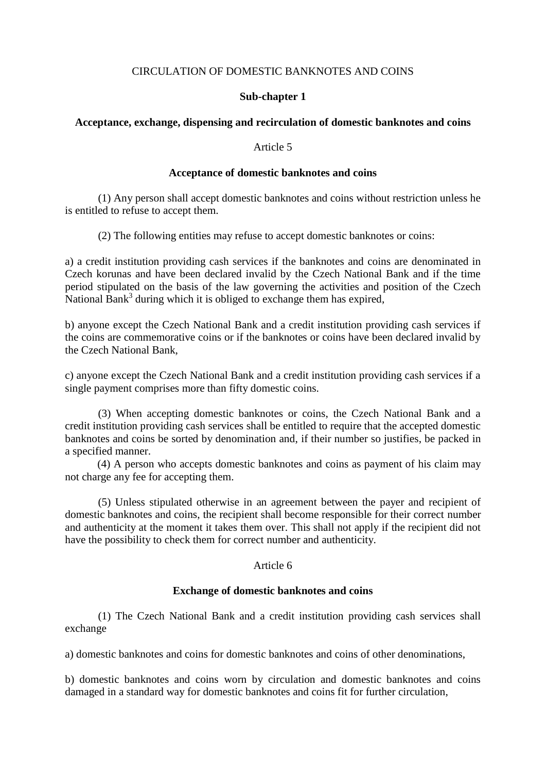## CIRCULATION OF DOMESTIC BANKNOTES AND COINS

## **Sub-chapter 1**

## **Acceptance, exchange, dispensing and recirculation of domestic banknotes and coins**

## Article 5

### **Acceptance of domestic banknotes and coins**

(1) Any person shall accept domestic banknotes and coins without restriction unless he is entitled to refuse to accept them.

(2) The following entities may refuse to accept domestic banknotes or coins:

a) a credit institution providing cash services if the banknotes and coins are denominated in Czech korunas and have been declared invalid by the Czech National Bank and if the time period stipulated on the basis of the law governing the activities and position of the Czech National Bank<sup>3</sup> during which it is obliged to exchange them has expired,

b) anyone except the Czech National Bank and a credit institution providing cash services if the coins are commemorative coins or if the banknotes or coins have been declared invalid by the Czech National Bank,

c) anyone except the Czech National Bank and a credit institution providing cash services if a single payment comprises more than fifty domestic coins.

(3) When accepting domestic banknotes or coins, the Czech National Bank and a credit institution providing cash services shall be entitled to require that the accepted domestic banknotes and coins be sorted by denomination and, if their number so justifies, be packed in a specified manner.

(4) A person who accepts domestic banknotes and coins as payment of his claim may not charge any fee for accepting them.

(5) Unless stipulated otherwise in an agreement between the payer and recipient of domestic banknotes and coins, the recipient shall become responsible for their correct number and authenticity at the moment it takes them over. This shall not apply if the recipient did not have the possibility to check them for correct number and authenticity.

## Article 6

### **Exchange of domestic banknotes and coins**

(1) The Czech National Bank and a credit institution providing cash services shall exchange

a) domestic banknotes and coins for domestic banknotes and coins of other denominations,

b) domestic banknotes and coins worn by circulation and domestic banknotes and coins damaged in a standard way for domestic banknotes and coins fit for further circulation,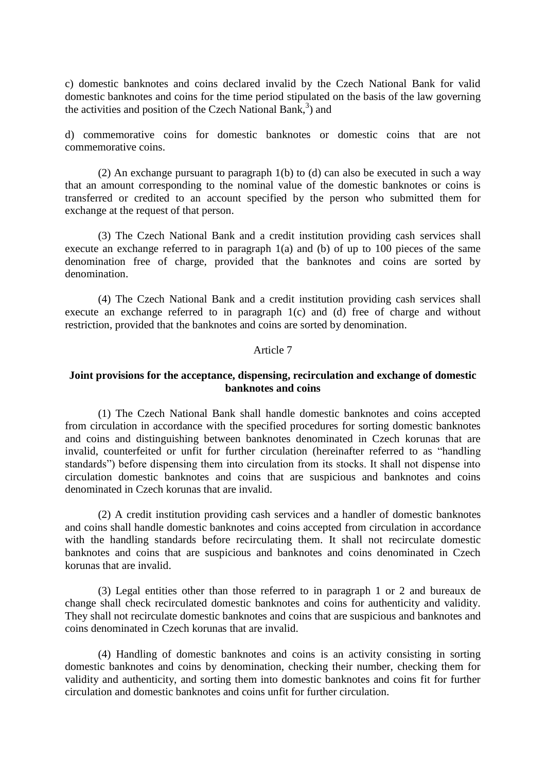c) domestic banknotes and coins declared invalid by the Czech National Bank for valid domestic banknotes and coins for the time period stipulated on the basis of the law governing the activities and position of the Czech National Bank, $3$ ) and

d) commemorative coins for domestic banknotes or domestic coins that are not commemorative coins.

(2) An exchange pursuant to paragraph 1(b) to (d) can also be executed in such a way that an amount corresponding to the nominal value of the domestic banknotes or coins is transferred or credited to an account specified by the person who submitted them for exchange at the request of that person.

(3) The Czech National Bank and a credit institution providing cash services shall execute an exchange referred to in paragraph 1(a) and (b) of up to 100 pieces of the same denomination free of charge, provided that the banknotes and coins are sorted by denomination.

(4) The Czech National Bank and a credit institution providing cash services shall execute an exchange referred to in paragraph 1(c) and (d) free of charge and without restriction, provided that the banknotes and coins are sorted by denomination.

#### Article 7

### **Joint provisions for the acceptance, dispensing, recirculation and exchange of domestic banknotes and coins**

(1) The Czech National Bank shall handle domestic banknotes and coins accepted from circulation in accordance with the specified procedures for sorting domestic banknotes and coins and distinguishing between banknotes denominated in Czech korunas that are invalid, counterfeited or unfit for further circulation (hereinafter referred to as "handling standards") before dispensing them into circulation from its stocks. It shall not dispense into circulation domestic banknotes and coins that are suspicious and banknotes and coins denominated in Czech korunas that are invalid.

(2) A credit institution providing cash services and a handler of domestic banknotes and coins shall handle domestic banknotes and coins accepted from circulation in accordance with the handling standards before recirculating them. It shall not recirculate domestic banknotes and coins that are suspicious and banknotes and coins denominated in Czech korunas that are invalid.

(3) Legal entities other than those referred to in paragraph 1 or 2 and bureaux de change shall check recirculated domestic banknotes and coins for authenticity and validity. They shall not recirculate domestic banknotes and coins that are suspicious and banknotes and coins denominated in Czech korunas that are invalid.

(4) Handling of domestic banknotes and coins is an activity consisting in sorting domestic banknotes and coins by denomination, checking their number, checking them for validity and authenticity, and sorting them into domestic banknotes and coins fit for further circulation and domestic banknotes and coins unfit for further circulation.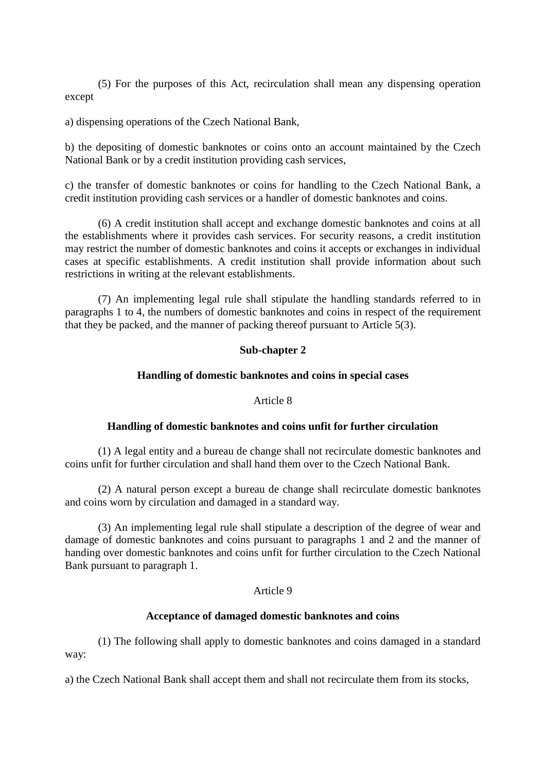(5) For the purposes of this Act, recirculation shall mean any dispensing operation except

a) dispensing operations of the Czech National Bank,

b) the depositing of domestic banknotes or coins onto an account maintained by the Czech National Bank or by a credit institution providing cash services,

c) the transfer of domestic banknotes or coins for handling to the Czech National Bank, a credit institution providing cash services or a handler of domestic banknotes and coins.

(6) A credit institution shall accept and exchange domestic banknotes and coins at all the establishments where it provides cash services. For security reasons, a credit institution may restrict the number of domestic banknotes and coins it accepts or exchanges in individual cases at specific establishments. A credit institution shall provide information about such restrictions in writing at the relevant establishments.

(7) An implementing legal rule shall stipulate the handling standards referred to in paragraphs 1 to 4, the numbers of domestic banknotes and coins in respect of the requirement that they be packed, and the manner of packing thereof pursuant to Article 5(3).

# **Sub-chapter 2**

## **Handling of domestic banknotes and coins in special cases**

## Article 8

## **Handling of domestic banknotes and coins unfit for further circulation**

(1) A legal entity and a bureau de change shall not recirculate domestic banknotes and coins unfit for further circulation and shall hand them over to the Czech National Bank.

(2) A natural person except a bureau de change shall recirculate domestic banknotes and coins worn by circulation and damaged in a standard way.

(3) An implementing legal rule shall stipulate a description of the degree of wear and damage of domestic banknotes and coins pursuant to paragraphs 1 and 2 and the manner of handing over domestic banknotes and coins unfit for further circulation to the Czech National Bank pursuant to paragraph 1.

## Article 9

## **Acceptance of damaged domestic banknotes and coins**

(1) The following shall apply to domestic banknotes and coins damaged in a standard way:

a) the Czech National Bank shall accept them and shall not recirculate them from its stocks,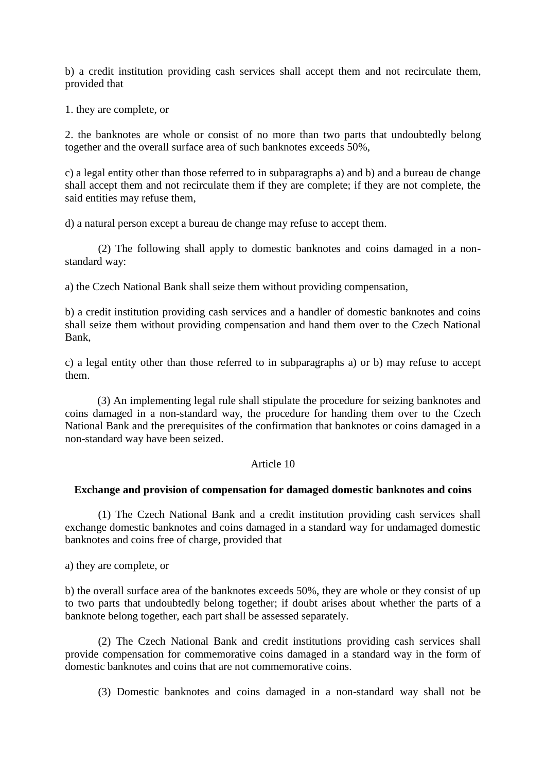b) a credit institution providing cash services shall accept them and not recirculate them, provided that

1. they are complete, or

2. the banknotes are whole or consist of no more than two parts that undoubtedly belong together and the overall surface area of such banknotes exceeds 50%,

c) a legal entity other than those referred to in subparagraphs a) and b) and a bureau de change shall accept them and not recirculate them if they are complete; if they are not complete, the said entities may refuse them,

d) a natural person except a bureau de change may refuse to accept them.

(2) The following shall apply to domestic banknotes and coins damaged in a nonstandard way:

a) the Czech National Bank shall seize them without providing compensation,

b) a credit institution providing cash services and a handler of domestic banknotes and coins shall seize them without providing compensation and hand them over to the Czech National Bank,

c) a legal entity other than those referred to in subparagraphs a) or b) may refuse to accept them.

(3) An implementing legal rule shall stipulate the procedure for seizing banknotes and coins damaged in a non-standard way, the procedure for handing them over to the Czech National Bank and the prerequisites of the confirmation that banknotes or coins damaged in a non-standard way have been seized.

### Article 10

### **Exchange and provision of compensation for damaged domestic banknotes and coins**

(1) The Czech National Bank and a credit institution providing cash services shall exchange domestic banknotes and coins damaged in a standard way for undamaged domestic banknotes and coins free of charge, provided that

a) they are complete, or

b) the overall surface area of the banknotes exceeds 50%, they are whole or they consist of up to two parts that undoubtedly belong together; if doubt arises about whether the parts of a banknote belong together, each part shall be assessed separately.

(2) The Czech National Bank and credit institutions providing cash services shall provide compensation for commemorative coins damaged in a standard way in the form of domestic banknotes and coins that are not commemorative coins.

(3) Domestic banknotes and coins damaged in a non-standard way shall not be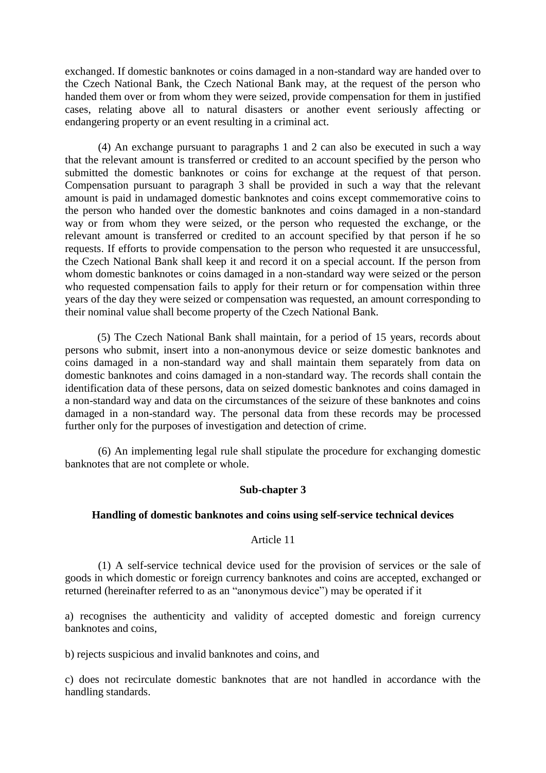exchanged. If domestic banknotes or coins damaged in a non-standard way are handed over to the Czech National Bank, the Czech National Bank may, at the request of the person who handed them over or from whom they were seized, provide compensation for them in justified cases, relating above all to natural disasters or another event seriously affecting or endangering property or an event resulting in a criminal act.

(4) An exchange pursuant to paragraphs 1 and 2 can also be executed in such a way that the relevant amount is transferred or credited to an account specified by the person who submitted the domestic banknotes or coins for exchange at the request of that person. Compensation pursuant to paragraph 3 shall be provided in such a way that the relevant amount is paid in undamaged domestic banknotes and coins except commemorative coins to the person who handed over the domestic banknotes and coins damaged in a non-standard way or from whom they were seized, or the person who requested the exchange, or the relevant amount is transferred or credited to an account specified by that person if he so requests. If efforts to provide compensation to the person who requested it are unsuccessful, the Czech National Bank shall keep it and record it on a special account. If the person from whom domestic banknotes or coins damaged in a non-standard way were seized or the person who requested compensation fails to apply for their return or for compensation within three years of the day they were seized or compensation was requested, an amount corresponding to their nominal value shall become property of the Czech National Bank.

(5) The Czech National Bank shall maintain, for a period of 15 years, records about persons who submit, insert into a non-anonymous device or seize domestic banknotes and coins damaged in a non-standard way and shall maintain them separately from data on domestic banknotes and coins damaged in a non-standard way. The records shall contain the identification data of these persons, data on seized domestic banknotes and coins damaged in a non-standard way and data on the circumstances of the seizure of these banknotes and coins damaged in a non-standard way. The personal data from these records may be processed further only for the purposes of investigation and detection of crime.

(6) An implementing legal rule shall stipulate the procedure for exchanging domestic banknotes that are not complete or whole.

## **Sub-chapter 3**

### **Handling of domestic banknotes and coins using self-service technical devices**

## Article 11

(1) A self-service technical device used for the provision of services or the sale of goods in which domestic or foreign currency banknotes and coins are accepted, exchanged or returned (hereinafter referred to as an "anonymous device") may be operated if it

a) recognises the authenticity and validity of accepted domestic and foreign currency banknotes and coins,

b) rejects suspicious and invalid banknotes and coins, and

c) does not recirculate domestic banknotes that are not handled in accordance with the handling standards.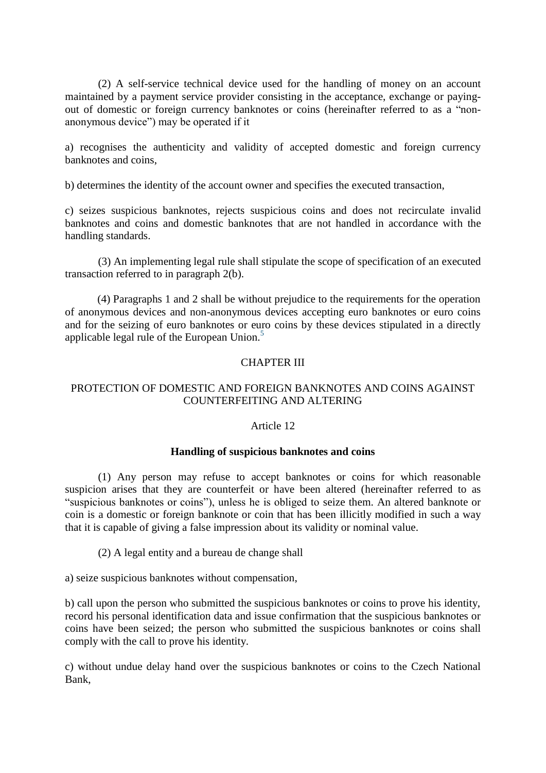(2) A self-service technical device used for the handling of money on an account maintained by a payment service provider consisting in the acceptance, exchange or payingout of domestic or foreign currency banknotes or coins (hereinafter referred to as a "nonanonymous device") may be operated if it

a) recognises the authenticity and validity of accepted domestic and foreign currency banknotes and coins,

b) determines the identity of the account owner and specifies the executed transaction,

c) seizes suspicious banknotes, rejects suspicious coins and does not recirculate invalid banknotes and coins and domestic banknotes that are not handled in accordance with the handling standards.

(3) An implementing legal rule shall stipulate the scope of specification of an executed transaction referred to in paragraph 2(b).

(4) Paragraphs 1 and 2 shall be without prejudice to the requirements for the operation of anonymous devices and non-anonymous devices accepting euro banknotes or euro coins and for the seizing of euro banknotes or euro coins by these devices stipulated in a directly applicable legal rule of the European Union.<sup>[5](http://www.zakonyprolidi.cz/print/cs/2011-136/zneni-20161018.htm#f5906702)</sup>

# CHAPTER III

## PROTECTION OF DOMESTIC AND FOREIGN BANKNOTES AND COINS AGAINST COUNTERFEITING AND ALTERING

## Article 12

## **Handling of suspicious banknotes and coins**

(1) Any person may refuse to accept banknotes or coins for which reasonable suspicion arises that they are counterfeit or have been altered (hereinafter referred to as "suspicious banknotes or coins"), unless he is obliged to seize them. An altered banknote or coin is a domestic or foreign banknote or coin that has been illicitly modified in such a way that it is capable of giving a false impression about its validity or nominal value.

(2) A legal entity and a bureau de change shall

a) seize suspicious banknotes without compensation,

b) call upon the person who submitted the suspicious banknotes or coins to prove his identity, record his personal identification data and issue confirmation that the suspicious banknotes or coins have been seized; the person who submitted the suspicious banknotes or coins shall comply with the call to prove his identity.

c) without undue delay hand over the suspicious banknotes or coins to the Czech National Bank,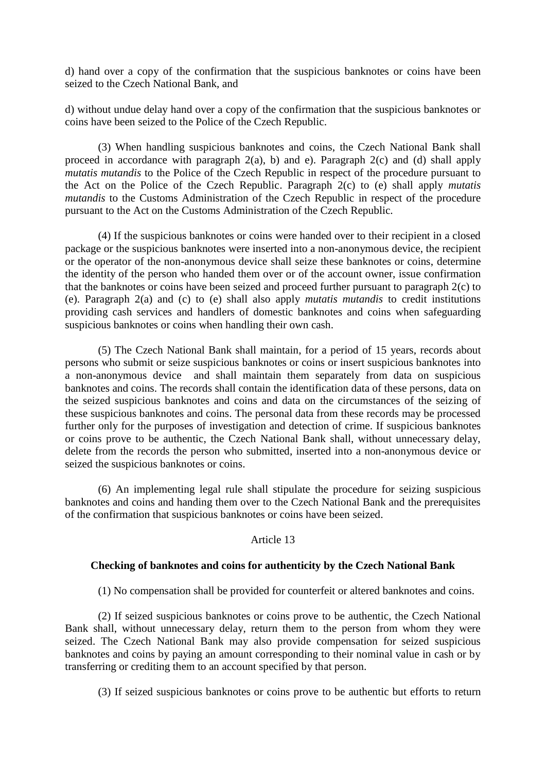d) hand over a copy of the confirmation that the suspicious banknotes or coins have been seized to the Czech National Bank, and

d) without undue delay hand over a copy of the confirmation that the suspicious banknotes or coins have been seized to the Police of the Czech Republic.

(3) When handling suspicious banknotes and coins, the Czech National Bank shall proceed in accordance with paragraph 2(a), b) and e). Paragraph 2(c) and (d) shall apply *mutatis mutandis* to the Police of the Czech Republic in respect of the procedure pursuant to the Act on the Police of the Czech Republic. Paragraph 2(c) to (e) shall apply *mutatis mutandis* to the Customs Administration of the Czech Republic in respect of the procedure pursuant to the Act on the Customs Administration of the Czech Republic.

(4) If the suspicious banknotes or coins were handed over to their recipient in a closed package or the suspicious banknotes were inserted into a non-anonymous device, the recipient or the operator of the non-anonymous device shall seize these banknotes or coins, determine the identity of the person who handed them over or of the account owner, issue confirmation that the banknotes or coins have been seized and proceed further pursuant to paragraph 2(c) to (e). Paragraph 2(a) and (c) to (e) shall also apply *mutatis mutandis* to credit institutions providing cash services and handlers of domestic banknotes and coins when safeguarding suspicious banknotes or coins when handling their own cash.

(5) The Czech National Bank shall maintain, for a period of 15 years, records about persons who submit or seize suspicious banknotes or coins or insert suspicious banknotes into a non-anonymous device and shall maintain them separately from data on suspicious banknotes and coins. The records shall contain the identification data of these persons, data on the seized suspicious banknotes and coins and data on the circumstances of the seizing of these suspicious banknotes and coins. The personal data from these records may be processed further only for the purposes of investigation and detection of crime. If suspicious banknotes or coins prove to be authentic, the Czech National Bank shall, without unnecessary delay, delete from the records the person who submitted, inserted into a non-anonymous device or seized the suspicious banknotes or coins.

(6) An implementing legal rule shall stipulate the procedure for seizing suspicious banknotes and coins and handing them over to the Czech National Bank and the prerequisites of the confirmation that suspicious banknotes or coins have been seized.

## Article 13

## **Checking of banknotes and coins for authenticity by the Czech National Bank**

(1) No compensation shall be provided for counterfeit or altered banknotes and coins.

(2) If seized suspicious banknotes or coins prove to be authentic, the Czech National Bank shall, without unnecessary delay, return them to the person from whom they were seized. The Czech National Bank may also provide compensation for seized suspicious banknotes and coins by paying an amount corresponding to their nominal value in cash or by transferring or crediting them to an account specified by that person.

(3) If seized suspicious banknotes or coins prove to be authentic but efforts to return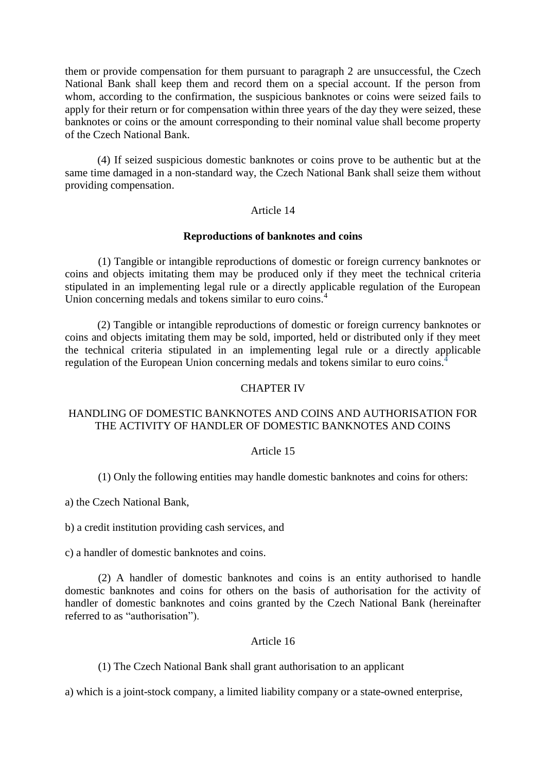them or provide compensation for them pursuant to paragraph 2 are unsuccessful, the Czech National Bank shall keep them and record them on a special account. If the person from whom, according to the confirmation, the suspicious banknotes or coins were seized fails to apply for their return or for compensation within three years of the day they were seized, these banknotes or coins or the amount corresponding to their nominal value shall become property of the Czech National Bank.

(4) If seized suspicious domestic banknotes or coins prove to be authentic but at the same time damaged in a non-standard way, the Czech National Bank shall seize them without providing compensation.

## Article 14

### **Reproductions of banknotes and coins**

(1) Tangible or intangible reproductions of domestic or foreign currency banknotes or coins and objects imitating them may be produced only if they meet the technical criteria stipulated in an implementing legal rule or a directly applicable regulation of the European Union concerning medals and tokens similar to euro coins.<sup>4</sup>

(2) Tangible or intangible reproductions of domestic or foreign currency banknotes or coins and objects imitating them may be sold, imported, held or distributed only if they meet the technical criteria stipulated in an implementing legal rule or a directly applicable regulation of the European Union concerning medals and tokens similar to euro coins[.](http://www.zakonyprolidi.cz/print/cs/2011-136/zneni-20161018.htm#f5906702)<sup>4</sup>

### CHAPTER IV

## HANDLING OF DOMESTIC BANKNOTES AND COINS AND AUTHORISATION FOR THE ACTIVITY OF HANDLER OF DOMESTIC BANKNOTES AND COINS

### Article 15

(1) Only the following entities may handle domestic banknotes and coins for others:

a) the Czech National Bank,

b) a credit institution providing cash services, and

c) a handler of domestic banknotes and coins.

(2) A handler of domestic banknotes and coins is an entity authorised to handle domestic banknotes and coins for others on the basis of authorisation for the activity of handler of domestic banknotes and coins granted by the Czech National Bank (hereinafter referred to as "authorisation").

## Article 16

(1) The Czech National Bank shall grant authorisation to an applicant

a) which is a joint-stock company, a limited liability company or a state-owned enterprise,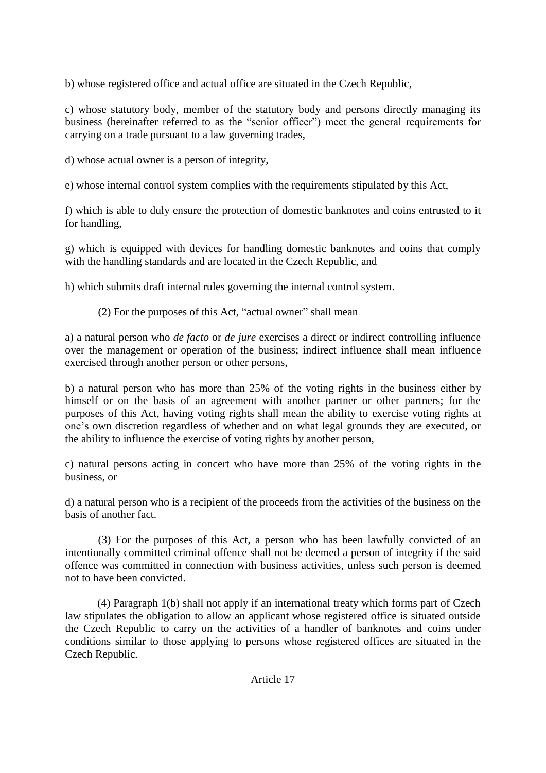b) whose registered office and actual office are situated in the Czech Republic,

c) whose statutory body, member of the statutory body and persons directly managing its business (hereinafter referred to as the "senior officer") meet the general requirements for carrying on a trade pursuant to a law governing trades,

d) whose actual owner is a person of integrity,

e) whose internal control system complies with the requirements stipulated by this Act,

f) which is able to duly ensure the protection of domestic banknotes and coins entrusted to it for handling,

g) which is equipped with devices for handling domestic banknotes and coins that comply with the handling standards and are located in the Czech Republic, and

h) which submits draft internal rules governing the internal control system.

(2) For the purposes of this Act, "actual owner" shall mean

a) a natural person who *de facto* or *de jure* exercises a direct or indirect controlling influence over the management or operation of the business; indirect influence shall mean influence exercised through another person or other persons,

b) a natural person who has more than 25% of the voting rights in the business either by himself or on the basis of an agreement with another partner or other partners; for the purposes of this Act, having voting rights shall mean the ability to exercise voting rights at one's own discretion regardless of whether and on what legal grounds they are executed, or the ability to influence the exercise of voting rights by another person,

c) natural persons acting in concert who have more than 25% of the voting rights in the business, or

d) a natural person who is a recipient of the proceeds from the activities of the business on the basis of another fact.

(3) For the purposes of this Act, a person who has been lawfully convicted of an intentionally committed criminal offence shall not be deemed a person of integrity if the said offence was committed in connection with business activities, unless such person is deemed not to have been convicted.

(4) Paragraph 1(b) shall not apply if an international treaty which forms part of Czech law stipulates the obligation to allow an applicant whose registered office is situated outside the Czech Republic to carry on the activities of a handler of banknotes and coins under conditions similar to those applying to persons whose registered offices are situated in the Czech Republic.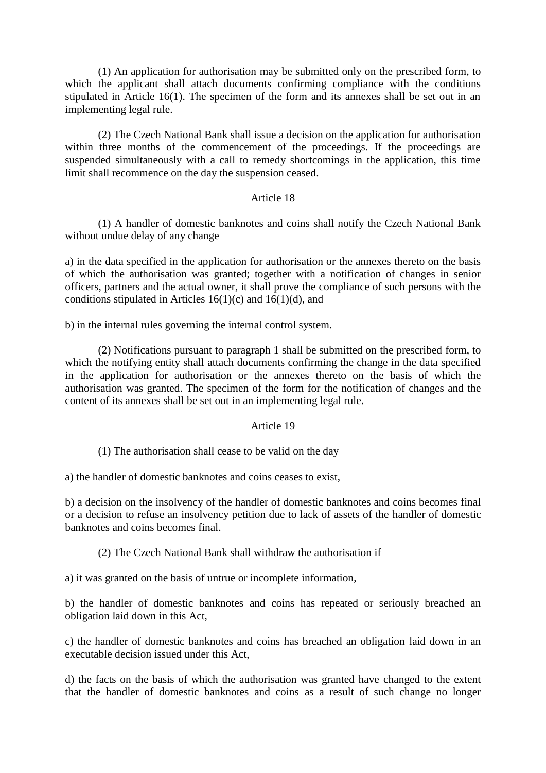(1) An application for authorisation may be submitted only on the prescribed form, to which the applicant shall attach documents confirming compliance with the conditions stipulated in Article 16(1). The specimen of the form and its annexes shall be set out in an implementing legal rule.

(2) The Czech National Bank shall issue a decision on the application for authorisation within three months of the commencement of the proceedings. If the proceedings are suspended simultaneously with a call to remedy shortcomings in the application, this time limit shall recommence on the day the suspension ceased.

## Article 18

(1) A handler of domestic banknotes and coins shall notify the Czech National Bank without undue delay of any change

a) in the data specified in the application for authorisation or the annexes thereto on the basis of which the authorisation was granted; together with a notification of changes in senior officers, partners and the actual owner, it shall prove the compliance of such persons with the conditions stipulated in Articles  $16(1)(c)$  and  $16(1)(d)$ , and

b) in the internal rules governing the internal control system.

(2) Notifications pursuant to paragraph 1 shall be submitted on the prescribed form, to which the notifying entity shall attach documents confirming the change in the data specified in the application for authorisation or the annexes thereto on the basis of which the authorisation was granted. The specimen of the form for the notification of changes and the content of its annexes shall be set out in an implementing legal rule.

# Article 19

(1) The authorisation shall cease to be valid on the day

a) the handler of domestic banknotes and coins ceases to exist,

b) a decision on the insolvency of the handler of domestic banknotes and coins becomes final or a decision to refuse an insolvency petition due to lack of assets of the handler of domestic banknotes and coins becomes final.

(2) The Czech National Bank shall withdraw the authorisation if

a) it was granted on the basis of untrue or incomplete information,

b) the handler of domestic banknotes and coins has repeated or seriously breached an obligation laid down in this Act,

c) the handler of domestic banknotes and coins has breached an obligation laid down in an executable decision issued under this Act,

d) the facts on the basis of which the authorisation was granted have changed to the extent that the handler of domestic banknotes and coins as a result of such change no longer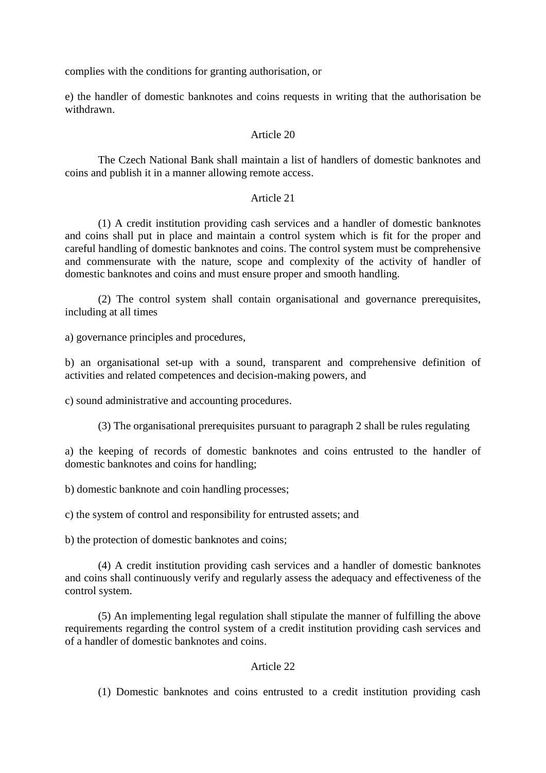complies with the conditions for granting authorisation, or

e) the handler of domestic banknotes and coins requests in writing that the authorisation be withdrawn.

### Article 20

The Czech National Bank shall maintain a list of handlers of domestic banknotes and coins and publish it in a manner allowing remote access.

## Article 21

(1) A credit institution providing cash services and a handler of domestic banknotes and coins shall put in place and maintain a control system which is fit for the proper and careful handling of domestic banknotes and coins. The control system must be comprehensive and commensurate with the nature, scope and complexity of the activity of handler of domestic banknotes and coins and must ensure proper and smooth handling.

(2) The control system shall contain organisational and governance prerequisites, including at all times

a) governance principles and procedures,

b) an organisational set-up with a sound, transparent and comprehensive definition of activities and related competences and decision-making powers, and

c) sound administrative and accounting procedures.

(3) The organisational prerequisites pursuant to paragraph 2 shall be rules regulating

a) the keeping of records of domestic banknotes and coins entrusted to the handler of domestic banknotes and coins for handling;

b) domestic banknote and coin handling processes;

c) the system of control and responsibility for entrusted assets; and

b) the protection of domestic banknotes and coins;

(4) A credit institution providing cash services and a handler of domestic banknotes and coins shall continuously verify and regularly assess the adequacy and effectiveness of the control system.

(5) An implementing legal regulation shall stipulate the manner of fulfilling the above requirements regarding the control system of a credit institution providing cash services and of a handler of domestic banknotes and coins.

## Article 22

(1) Domestic banknotes and coins entrusted to a credit institution providing cash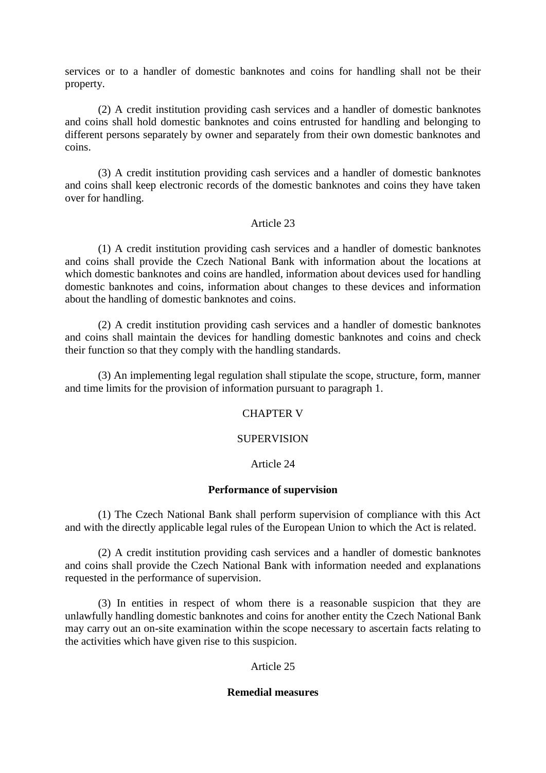services or to a handler of domestic banknotes and coins for handling shall not be their property.

(2) A credit institution providing cash services and a handler of domestic banknotes and coins shall hold domestic banknotes and coins entrusted for handling and belonging to different persons separately by owner and separately from their own domestic banknotes and coins.

(3) A credit institution providing cash services and a handler of domestic banknotes and coins shall keep electronic records of the domestic banknotes and coins they have taken over for handling.

## Article 23

(1) A credit institution providing cash services and a handler of domestic banknotes and coins shall provide the Czech National Bank with information about the locations at which domestic banknotes and coins are handled, information about devices used for handling domestic banknotes and coins, information about changes to these devices and information about the handling of domestic banknotes and coins.

(2) A credit institution providing cash services and a handler of domestic banknotes and coins shall maintain the devices for handling domestic banknotes and coins and check their function so that they comply with the handling standards.

(3) An implementing legal regulation shall stipulate the scope, structure, form, manner and time limits for the provision of information pursuant to paragraph 1.

## CHAPTER V

## **SUPERVISION**

## Article 24

### **Performance of supervision**

(1) The Czech National Bank shall perform supervision of compliance with this Act and with the directly applicable legal rules of the European Union to which the Act is related.

(2) A credit institution providing cash services and a handler of domestic banknotes and coins shall provide the Czech National Bank with information needed and explanations requested in the performance of supervision.

(3) In entities in respect of whom there is a reasonable suspicion that they are unlawfully handling domestic banknotes and coins for another entity the Czech National Bank may carry out an on-site examination within the scope necessary to ascertain facts relating to the activities which have given rise to this suspicion.

## Article 25

## **Remedial measures**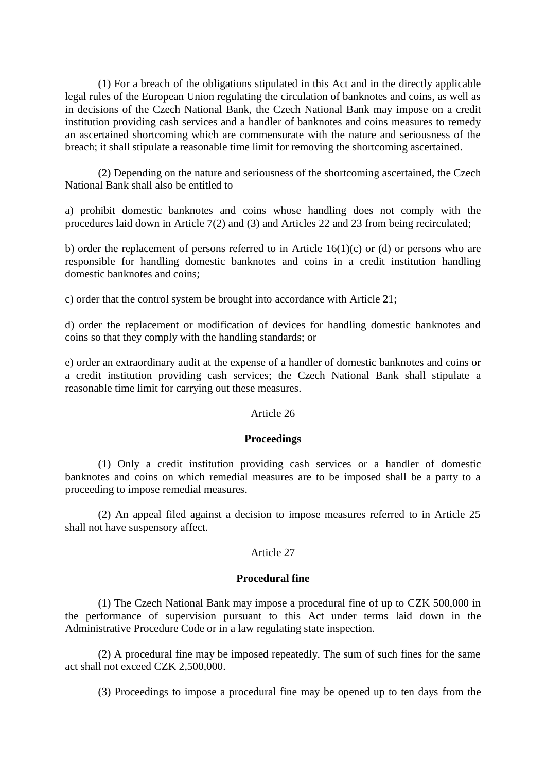(1) For a breach of the obligations stipulated in this Act and in the directly applicable legal rules of the European Union regulating the circulation of banknotes and coins, as well as in decisions of the Czech National Bank, the Czech National Bank may impose on a credit institution providing cash services and a handler of banknotes and coins measures to remedy an ascertained shortcoming which are commensurate with the nature and seriousness of the breach; it shall stipulate a reasonable time limit for removing the shortcoming ascertained.

(2) Depending on the nature and seriousness of the shortcoming ascertained, the Czech National Bank shall also be entitled to

a) prohibit domestic banknotes and coins whose handling does not comply with the procedures laid down in Article 7(2) and (3) and Articles 22 and 23 from being recirculated;

b) order the replacement of persons referred to in Article 16(1)(c) or (d) or persons who are responsible for handling domestic banknotes and coins in a credit institution handling domestic banknotes and coins;

c) order that the control system be brought into accordance with Article 21;

d) order the replacement or modification of devices for handling domestic banknotes and coins so that they comply with the handling standards; or

e) order an extraordinary audit at the expense of a handler of domestic banknotes and coins or a credit institution providing cash services; the Czech National Bank shall stipulate a reasonable time limit for carrying out these measures.

### Article 26

### **Proceedings**

(1) Only a credit institution providing cash services or a handler of domestic banknotes and coins on which remedial measures are to be imposed shall be a party to a proceeding to impose remedial measures.

(2) An appeal filed against a decision to impose measures referred to in Article 25 shall not have suspensory affect.

## Article 27

### **Procedural fine**

(1) The Czech National Bank may impose a procedural fine of up to CZK 500,000 in the performance of supervision pursuant to this Act under terms laid down in the Administrative Procedure Code or in a law regulating state inspection.

(2) A procedural fine may be imposed repeatedly. The sum of such fines for the same act shall not exceed CZK 2,500,000.

(3) Proceedings to impose a procedural fine may be opened up to ten days from the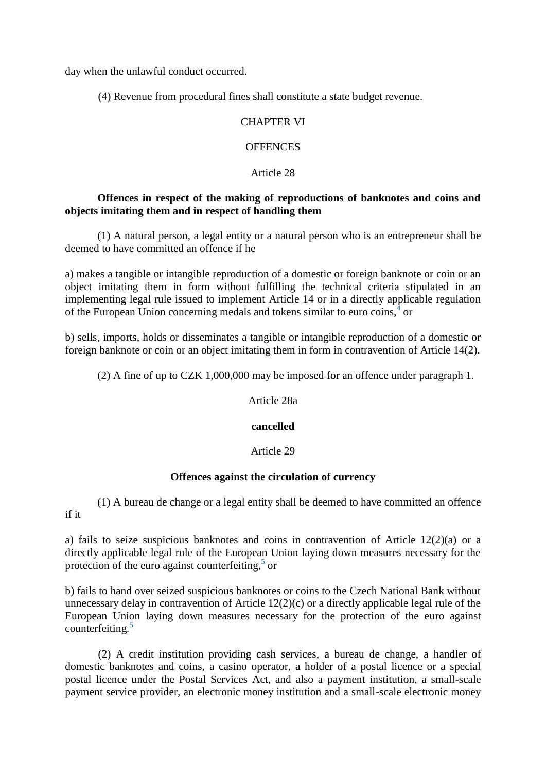day when the unlawful conduct occurred.

(4) Revenue from procedural fines shall constitute a state budget revenue.

## CHAPTER VI

## **OFFENCES**

## Article 28

## **Offences in respect of the making of reproductions of banknotes and coins and objects imitating them and in respect of handling them**

(1) A natural person, a legal entity or a natural person who is an entrepreneur shall be deemed to have committed an offence if he

a) makes a tangible or intangible reproduction of a domestic or foreign banknote or coin or an object imitating them in form without fulfilling the technical criteria stipulated in an implementing legal rule issued to implement Article 14 or in a directly applicable regulation of the European Union concerning medals and tokens similar to euro coins, $4$  or

b) sells, imports, holds or disseminates a tangible or intangible reproduction of a domestic or foreign banknote or coin or an object imitating them in form in contravention of Article 14(2).

(2) A fine of up to CZK 1,000,000 may be imposed for an offence under paragraph 1.

Article 28a

## **cancelled**

## Article 29

## **Offences against the circulation of currency**

(1) A bureau de change or a legal entity shall be deemed to have committed an offence if it

a) fails to seize suspicious banknotes and coins in contravention of Article 12(2)(a) or a directly applicable legal rule of the European Union laying down measures necessary for the protection of the euro against counterfeiting, $5$  or

b) fails to hand over seized suspicious banknotes or coins to the Czech National Bank without unnecessary delay in contravention of Article 12(2)(c) or a directly applicable legal rule of the European Union laying down measures necessary for the protection of the euro against counterfeiting.[5](http://www.zakonyprolidi.cz/print/cs/2011-136/zneni-20161018.htm#f5906702)

(2) A credit institution providing cash services, a bureau de change, a handler of domestic banknotes and coins, a casino operator, a holder of a postal licence or a special postal licence under the Postal Services Act, and also a payment institution, a small-scale payment service provider, an electronic money institution and a small-scale electronic money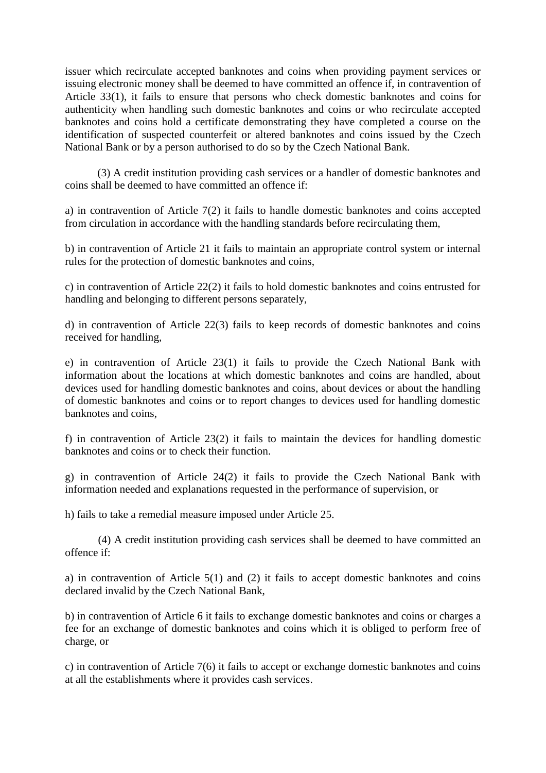issuer which recirculate accepted banknotes and coins when providing payment services or issuing electronic money shall be deemed to have committed an offence if, in contravention of Article 33(1), it fails to ensure that persons who check domestic banknotes and coins for authenticity when handling such domestic banknotes and coins or who recirculate accepted banknotes and coins hold a certificate demonstrating they have completed a course on the identification of suspected counterfeit or altered banknotes and coins issued by the Czech National Bank or by a person authorised to do so by the Czech National Bank.

(3) A credit institution providing cash services or a handler of domestic banknotes and coins shall be deemed to have committed an offence if:

a) in contravention of Article 7(2) it fails to handle domestic banknotes and coins accepted from circulation in accordance with the handling standards before recirculating them,

b) in contravention of Article 21 it fails to maintain an appropriate control system or internal rules for the protection of domestic banknotes and coins,

c) in contravention of Article 22(2) it fails to hold domestic banknotes and coins entrusted for handling and belonging to different persons separately,

d) in contravention of Article 22(3) fails to keep records of domestic banknotes and coins received for handling,

e) in contravention of Article 23(1) it fails to provide the Czech National Bank with information about the locations at which domestic banknotes and coins are handled, about devices used for handling domestic banknotes and coins, about devices or about the handling of domestic banknotes and coins or to report changes to devices used for handling domestic banknotes and coins,

f) in contravention of Article 23(2) it fails to maintain the devices for handling domestic banknotes and coins or to check their function.

g) in contravention of Article 24(2) it fails to provide the Czech National Bank with information needed and explanations requested in the performance of supervision, or

h) fails to take a remedial measure imposed under Article 25.

(4) A credit institution providing cash services shall be deemed to have committed an offence if:

a) in contravention of Article 5(1) and (2) it fails to accept domestic banknotes and coins declared invalid by the Czech National Bank,

b) in contravention of Article 6 it fails to exchange domestic banknotes and coins or charges a fee for an exchange of domestic banknotes and coins which it is obliged to perform free of charge, or

c) in contravention of Article 7(6) it fails to accept or exchange domestic banknotes and coins at all the establishments where it provides cash services.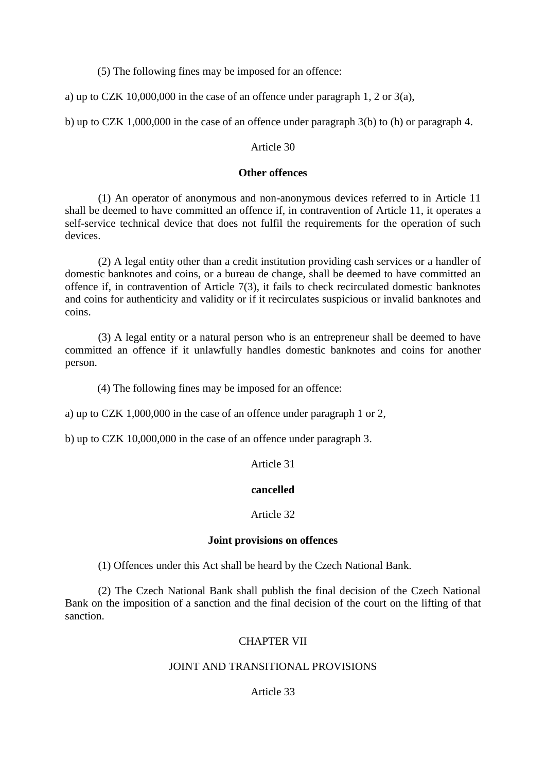(5) The following fines may be imposed for an offence:

a) up to CZK 10,000,000 in the case of an offence under paragraph 1, 2 or 3(a),

b) up to CZK 1,000,000 in the case of an offence under paragraph 3(b) to (h) or paragraph 4.

## Article 30

## **Other offences**

(1) An operator of anonymous and non-anonymous devices referred to in Article 11 shall be deemed to have committed an offence if, in contravention of Article 11, it operates a self-service technical device that does not fulfil the requirements for the operation of such devices.

(2) A legal entity other than a credit institution providing cash services or a handler of domestic banknotes and coins, or a bureau de change, shall be deemed to have committed an offence if, in contravention of Article 7(3), it fails to check recirculated domestic banknotes and coins for authenticity and validity or if it recirculates suspicious or invalid banknotes and coins.

(3) A legal entity or a natural person who is an entrepreneur shall be deemed to have committed an offence if it unlawfully handles domestic banknotes and coins for another person.

(4) The following fines may be imposed for an offence:

a) up to CZK 1,000,000 in the case of an offence under paragraph 1 or 2,

b) up to CZK 10,000,000 in the case of an offence under paragraph 3.

Article 31

## **cancelled**

## Article 32

## **Joint provisions on offences**

(1) Offences under this Act shall be heard by the Czech National Bank.

(2) The Czech National Bank shall publish the final decision of the Czech National Bank on the imposition of a sanction and the final decision of the court on the lifting of that sanction.

## CHAPTER VII

## JOINT AND TRANSITIONAL PROVISIONS

# Article 33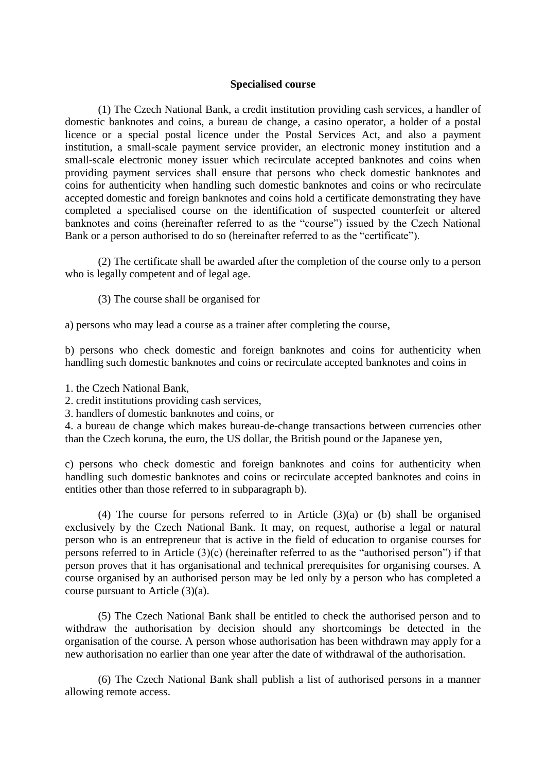### **Specialised course**

(1) The Czech National Bank, a credit institution providing cash services, a handler of domestic banknotes and coins, a bureau de change, a casino operator, a holder of a postal licence or a special postal licence under the Postal Services Act, and also a payment institution, a small-scale payment service provider, an electronic money institution and a small-scale electronic money issuer which recirculate accepted banknotes and coins when providing payment services shall ensure that persons who check domestic banknotes and coins for authenticity when handling such domestic banknotes and coins or who recirculate accepted domestic and foreign banknotes and coins hold a certificate demonstrating they have completed a specialised course on the identification of suspected counterfeit or altered banknotes and coins (hereinafter referred to as the "course") issued by the Czech National Bank or a person authorised to do so (hereinafter referred to as the "certificate").

(2) The certificate shall be awarded after the completion of the course only to a person who is legally competent and of legal age.

(3) The course shall be organised for

a) persons who may lead a course as a trainer after completing the course,

b) persons who check domestic and foreign banknotes and coins for authenticity when handling such domestic banknotes and coins or recirculate accepted banknotes and coins in

1. the Czech National Bank,

2. credit institutions providing cash services,

3. handlers of domestic banknotes and coins, or

4. a bureau de change which makes bureau-de-change transactions between currencies other than the Czech koruna, the euro, the US dollar, the British pound or the Japanese yen,

c) persons who check domestic and foreign banknotes and coins for authenticity when handling such domestic banknotes and coins or recirculate accepted banknotes and coins in entities other than those referred to in subparagraph b).

(4) The course for persons referred to in Article (3)(a) or (b) shall be organised exclusively by the Czech National Bank. It may, on request, authorise a legal or natural person who is an entrepreneur that is active in the field of education to organise courses for persons referred to in Article (3)(c) (hereinafter referred to as the "authorised person") if that person proves that it has organisational and technical prerequisites for organising courses. A course organised by an authorised person may be led only by a person who has completed a course pursuant to Article (3)(a).

(5) The Czech National Bank shall be entitled to check the authorised person and to withdraw the authorisation by decision should any shortcomings be detected in the organisation of the course. A person whose authorisation has been withdrawn may apply for a new authorisation no earlier than one year after the date of withdrawal of the authorisation.

(6) The Czech National Bank shall publish a list of authorised persons in a manner allowing remote access.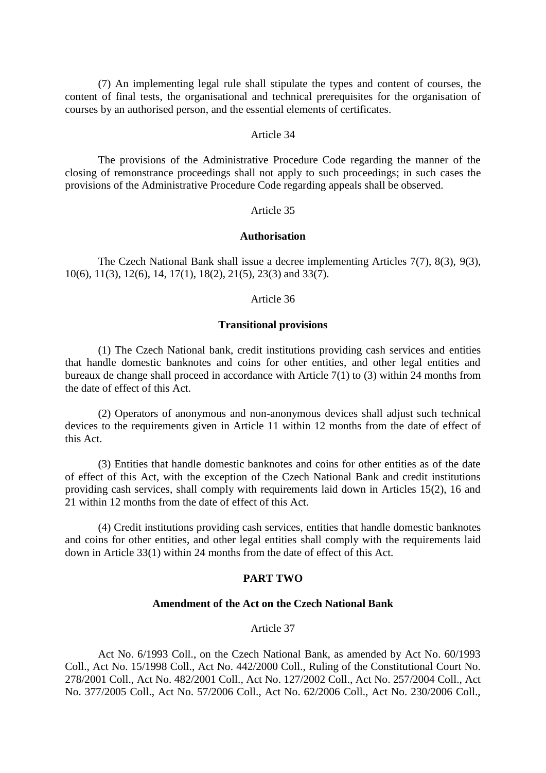(7) An implementing legal rule shall stipulate the types and content of courses, the content of final tests, the organisational and technical prerequisites for the organisation of courses by an authorised person, and the essential elements of certificates.

### Article 34

The provisions of the Administrative Procedure Code regarding the manner of the closing of remonstrance proceedings shall not apply to such proceedings; in such cases the provisions of the Administrative Procedure Code regarding appeals shall be observed.

## Article 35

### **Authorisation**

The Czech National Bank shall issue a decree implementing Articles 7(7), 8(3), 9(3), 10(6), 11(3), 12(6), 14, 17(1), 18(2), 21(5), 23(3) and 33(7).

### Article 36

#### **Transitional provisions**

(1) The Czech National bank, credit institutions providing cash services and entities that handle domestic banknotes and coins for other entities, and other legal entities and bureaux de change shall proceed in accordance with Article 7(1) to (3) within 24 months from the date of effect of this Act.

(2) Operators of anonymous and non-anonymous devices shall adjust such technical devices to the requirements given in Article 11 within 12 months from the date of effect of this Act.

(3) Entities that handle domestic banknotes and coins for other entities as of the date of effect of this Act, with the exception of the Czech National Bank and credit institutions providing cash services, shall comply with requirements laid down in Articles 15(2), 16 and 21 within 12 months from the date of effect of this Act.

(4) Credit institutions providing cash services, entities that handle domestic banknotes and coins for other entities, and other legal entities shall comply with the requirements laid down in Article 33(1) within 24 months from the date of effect of this Act.

### **PART TWO**

#### **Amendment of the Act on the Czech National Bank**

#### Article 37

Act No. 6/1993 Coll., on the Czech National Bank, as amended by Act No. 60/1993 Coll., Act No. 15/1998 Coll., Act No. 442/2000 Coll., Ruling of the Constitutional Court No. 278/2001 Coll., Act No. 482/2001 Coll., Act No. 127/2002 Coll., Act No. 257/2004 Coll., Act No. 377/2005 Coll., Act No. 57/2006 Coll., Act No. 62/2006 Coll., Act No. 230/2006 Coll.,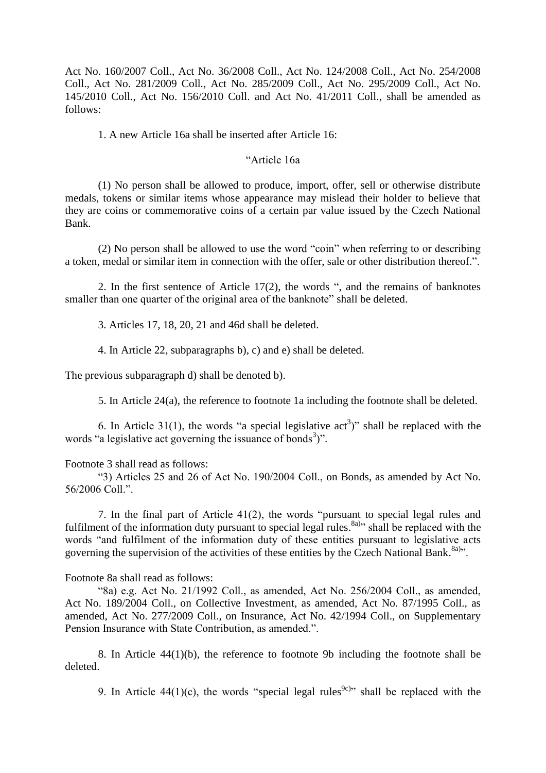Act No. 160/2007 Coll., Act No. 36/2008 Coll., Act No. 124/2008 Coll., Act No. 254/2008 Coll., Act No. 281/2009 Coll., Act No. 285/2009 Coll., Act No. 295/2009 Coll., Act No. 145/2010 Coll., Act No. 156/2010 Coll. and Act No. 41/2011 Coll., shall be amended as follows:

1. A new Article 16a shall be inserted after Article 16:

## "Article 16a

(1) No person shall be allowed to produce, import, offer, sell or otherwise distribute medals, tokens or similar items whose appearance may mislead their holder to believe that they are coins or commemorative coins of a certain par value issued by the Czech National Bank.

(2) No person shall be allowed to use the word "coin" when referring to or describing a token, medal or similar item in connection with the offer, sale or other distribution thereof.".

2. In the first sentence of Article 17(2), the words ", and the remains of banknotes smaller than one quarter of the original area of the banknote" shall be deleted.

3. Articles 17, 18, 20, 21 and 46d shall be deleted.

4. In Article 22, subparagraphs b), c) and e) shall be deleted.

The previous subparagraph d) shall be denoted b).

5. In Article 24(a), the reference to footnote 1a including the footnote shall be deleted.

6. In Article 31(1), the words "a special legislative  $act<sup>3</sup>$ " shall be replaced with the words "a legislative act governing the issuance of bonds<sup>3</sup>)".

Footnote 3 shall read as follows:

"3) Articles 25 and 26 of Act No. 190/2004 Coll., on Bonds, as amended by Act No. 56/2006 Coll.".

7. In the final part of Article 41(2), the words "pursuant to special legal rules and fulfilment of the information duty pursuant to special legal rules.<sup>8a</sup>)<sup>,</sup> shall be replaced with the words "and fulfilment of the information duty of these entities pursuant to legislative acts governing the supervision of the activities of these entities by the Czech National Bank.<sup>8a)</sup>".

Footnote 8a shall read as follows:

"8a) e.g. Act No. 21/1992 Coll., as amended, Act No. 256/2004 Coll., as amended, Act No. 189/2004 Coll., on Collective Investment, as amended, Act No. 87/1995 Coll., as amended, Act No. 277/2009 Coll., on Insurance, Act No. 42/1994 Coll., on Supplementary Pension Insurance with State Contribution, as amended.".

8. In Article 44(1)(b), the reference to footnote 9b including the footnote shall be deleted.

9. In Article 44(1)(c), the words "special legal rules<sup>9c)</sup>" shall be replaced with the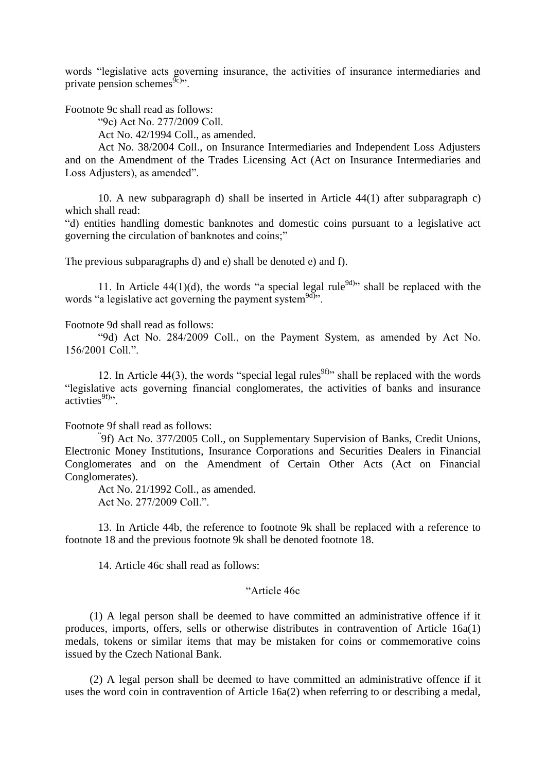words "legislative acts governing insurance, the activities of insurance intermediaries and private pension schemes $\widetilde{\mathfrak{g}}_{c}$ .

Footnote 9c shall read as follows:

"9c) Act No. 277/2009 Coll.

Act No. 42/1994 Coll., as amended.

Act No. 38/2004 Coll., on Insurance Intermediaries and Independent Loss Adjusters and on the Amendment of the Trades Licensing Act (Act on Insurance Intermediaries and Loss Adjusters), as amended".

10. A new subparagraph d) shall be inserted in Article 44(1) after subparagraph c) which shall read:

"d) entities handling domestic banknotes and domestic coins pursuant to a legislative act governing the circulation of banknotes and coins;"

The previous subparagraphs d) and e) shall be denoted e) and f).

11. In Article 44(1)(d), the words "a special legal rule<sup>9d)</sup>" shall be replaced with the words "a legislative act governing the payment system<sup>9d)</sup>".

Footnote 9d shall read as follows:

"9d) Act No. 284/2009 Coll., on the Payment System, as amended by Act No. 156/2001 Coll.".

12. In Article 44(3), the words "special legal rules<sup>9f)</sup>" shall be replaced with the words "legislative acts governing financial conglomerates, the activities of banks and insurance  $\arctivties^{9f)}$ .

#### Footnote 9f shall read as follows:

" 9f) Act No. 377/2005 Coll., on Supplementary Supervision of Banks, Credit Unions, Electronic Money Institutions, Insurance Corporations and Securities Dealers in Financial Conglomerates and on the Amendment of Certain Other Acts (Act on Financial Conglomerates).

Act No. 21/1992 Coll., as amended. Act No. 277/2009 Coll.".

13. In Article 44b, the reference to footnote 9k shall be replaced with a reference to footnote 18 and the previous footnote 9k shall be denoted footnote 18.

14. Article 46c shall read as follows:

### "Article 46c

(1) A legal person shall be deemed to have committed an administrative offence if it produces, imports, offers, sells or otherwise distributes in contravention of Article 16a(1) medals, tokens or similar items that may be mistaken for coins or commemorative coins issued by the Czech National Bank.

(2) A legal person shall be deemed to have committed an administrative offence if it uses the word coin in contravention of Article 16a(2) when referring to or describing a medal,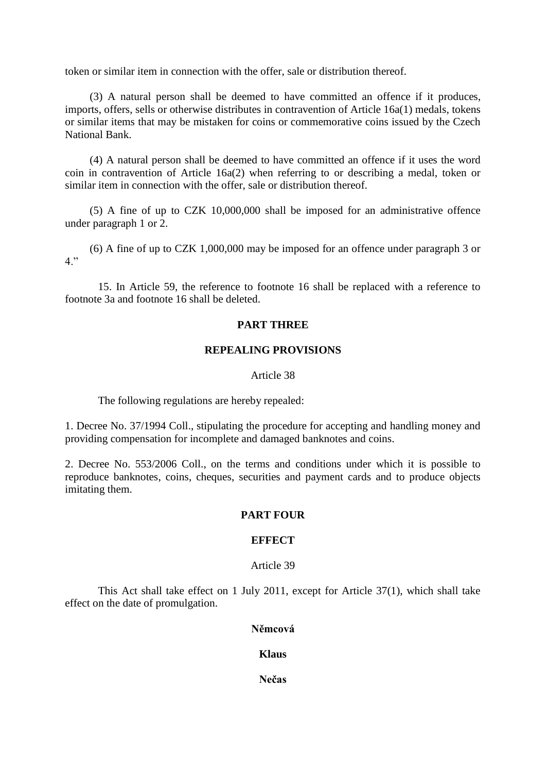token or similar item in connection with the offer, sale or distribution thereof.

(3) A natural person shall be deemed to have committed an offence if it produces, imports, offers, sells or otherwise distributes in contravention of Article 16a(1) medals, tokens or similar items that may be mistaken for coins or commemorative coins issued by the Czech National Bank.

(4) A natural person shall be deemed to have committed an offence if it uses the word coin in contravention of Article 16a(2) when referring to or describing a medal, token or similar item in connection with the offer, sale or distribution thereof.

(5) A fine of up to CZK 10,000,000 shall be imposed for an administrative offence under paragraph 1 or 2.

(6) A fine of up to CZK 1,000,000 may be imposed for an offence under paragraph 3 or  $4$ "

15. In Article 59, the reference to footnote 16 shall be replaced with a reference to footnote 3a and footnote 16 shall be deleted.

### **PART THREE**

### **REPEALING PROVISIONS**

### Article 38

The following regulations are hereby repealed:

1. Decree No. 37/1994 Coll., stipulating the procedure for accepting and handling money and providing compensation for incomplete and damaged banknotes and coins.

2. Decree No. 553/2006 Coll., on the terms and conditions under which it is possible to reproduce banknotes, coins, cheques, securities and payment cards and to produce objects imitating them.

### **PART FOUR**

## **EFFECT**

### Article 39

This Act shall take effect on 1 July 2011, except for Article 37(1), which shall take effect on the date of promulgation.

## **Němcová**

## **Klaus**

**Nečas**